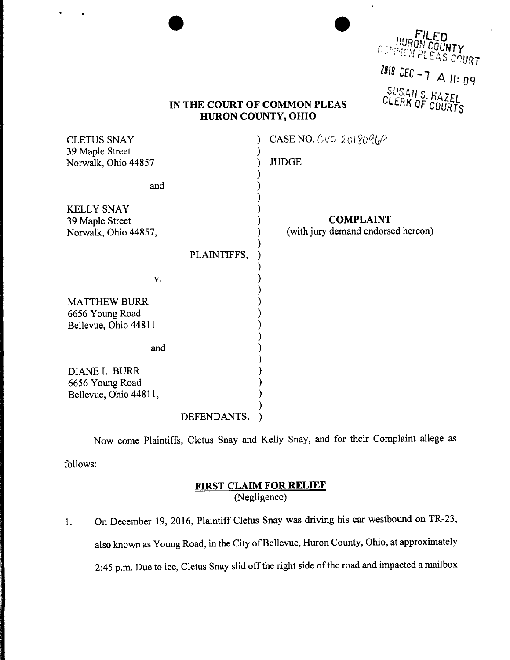|                                                                | <b>HURON COUNTY, OHIO</b> | IN THE COURT OF COMMON PLEAS                           | FILED<br>HURON COUNTY<br>$2018$ DEC - 7 A 11: 09<br>SUSAN S. HAZEL<br>CLERK OF COURTS |
|----------------------------------------------------------------|---------------------------|--------------------------------------------------------|---------------------------------------------------------------------------------------|
| <b>CLETUS SNAY</b>                                             |                           | CASE NO. $CVC$ 20180969                                |                                                                                       |
| 39 Maple Street<br>Norwalk, Ohio 44857                         |                           | <b>JUDGE</b>                                           |                                                                                       |
| and                                                            |                           |                                                        |                                                                                       |
| <b>KELLY SNAY</b><br>39 Maple Street<br>Norwalk, Ohio 44857,   |                           | <b>COMPLAINT</b><br>(with jury demand endorsed hereon) |                                                                                       |
|                                                                | PLAINTIFFS,               |                                                        |                                                                                       |
| V.                                                             |                           |                                                        |                                                                                       |
| <b>MATTHEW BURR</b><br>6656 Young Road<br>Bellevue, Ohio 44811 |                           |                                                        |                                                                                       |
| and                                                            |                           |                                                        |                                                                                       |
| DIANE L. BURR<br>6656 Young Road<br>Bellevue, Ohio 44811,      |                           |                                                        |                                                                                       |
|                                                                | DEFENDANTS.               |                                                        |                                                                                       |

 $\bullet$ 

 $\frac{1}{2}$ 

Now come Plaintiffs, Cletus Snay and Kelly Snay, and for their Complaint allege as follows:

## FIRST CLAIM FOR RELI (Negligence)

1. On December 19, 2016, Plaintiff Cletus Snay was driving his car westbound on TR-23, also known as Young Road, in the City of Bellevue, Huron County, Ohio, at approximately 2:45 p.m. Due to ice, Cletus Snay slid off the right side of the road and impacted <sup>a</sup> mailbox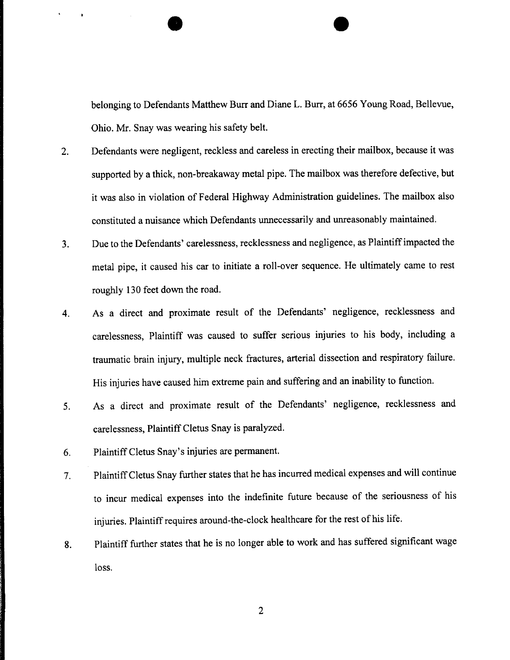belonging to Defendants Matthew Burr and Diane L. Burr, at <sup>6656</sup> Young Road, Bellevue, Ohio. Mr. Snay was wearing his safety belt.

- 2. Defendants were negligent, reckless and careless in erecting their mailbox, because it was supported by <sup>a</sup> thick, non-breakaway metal pipe. The mailbox was therefore defective, but it was also in violation of Federal Highway Administration guidelines. The mailbox also constituted <sup>a</sup> nuisance which Defendants unnecessarily and unreasonably maintained.
- 3. Due to the Defendants' carelessness, recklessness and negligence, as Plaintiff impacted the metal pipe, it caused his car to initiate <sup>a</sup> roll-over sequence. He ultimately came to rest roughly <sup>130</sup> feet down the road.
- 4. As <sup>a</sup> direct and proximate result of the Defendants' negligence, recklessness and carelessness, Plaintiff was caused to suffer serious injuries to his body, including <sup>a</sup> traumatic brain injury, multiple neck fractures, arterial dissection and respiratory failure. His injuries have caused him extreme pain and suffering and an inability to function.
- 5. As <sup>a</sup> direct and proximate result of the Defendants' negligence, recklessness and carelessness, Plaintiff Cletus Snay is paralyzed.
- 6. PlaintiffCletus Snay's injuries are permanent.

 $\bullet$ 

- 7. Plaintiff Cletus Snay further states that he has incurred medical expenses and will continue to incur medical expenses into the indefinite future because of the seriousness of his injuries. Plaintiff requires around-the-clock healthcare for the rest of his life.
- 8. Plaintiff further states that he is no longer able to work and has suffered significant wage loss.

2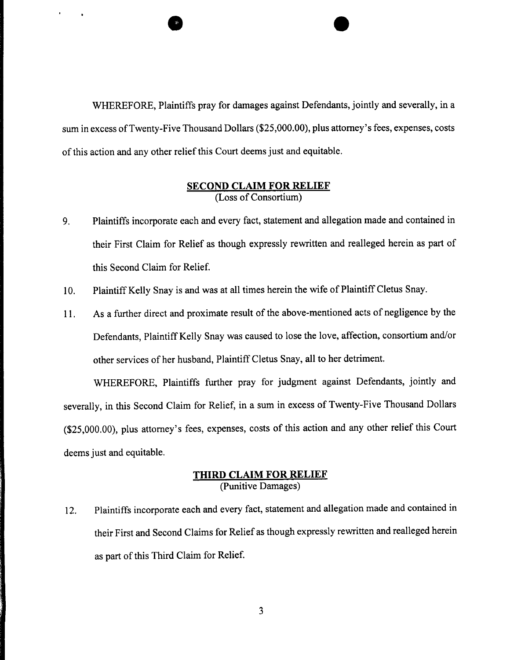WHEREFORE, Plaintiffs pray for damages against Defendants, jointly and severally, in <sup>a</sup> sum in excess of Twenty-Five Thousand Dollars (\$25,000.00), plus attorney's fees, expenses, costs of this action and any other relief this Court deems just and equitable.

 $\bar{1}$ 

 $\rightarrow$ 

## SECOND CLAIM FOR RELI (Loss of Conso

- 9. Plaintiffs incorporate each and every fact, statement and allegation made and contained in their First Claim for Relief as though expressly rewritten and realleged herein as part of this Second Claim for Relief.
- 10. Plaintiff Kelly Snay is and was at all times herein the wife of Plaintiff Cletus Snay.
- 11. As <sup>a</sup> further direct and proximate result of the above-mentioned acts of negligence by the Defendants, Plaintiff Kelly Snay was caused to lose the love, affection, consortium and/or other services of her husband, Plaintiff Cletus Snay, all to her detriment.

WHEREFORE, Plaintiffs further pray for judgment against Defendants, jointly and severally, in this Second Claim for Relief, in <sup>a</sup> sum in excess of Twenty-Five Thousand Dollars (\$25,000.00), plus attorney's fees, expenses, costs of this action and any other relief this Court deems just and equitable.

## THIRD CLAIM FOR RELIEF (Punitive Damages)

12. Plaintiffs incorporate each and every fact, statement and allegation made and contained in their First and Second Claims for Relief as though expressly rewritten and realleged herein as part of this Third Claim for Relief.

3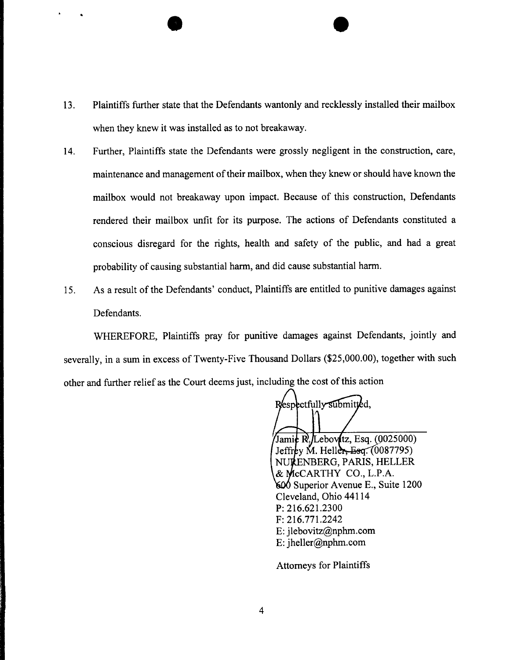13. Plaintiffs further state that the Defendants wantonly and recklessly installed their mailbox when they knew it was installed as to not breakaway.

 $\bullet$ 

- 14. Further, Plaintiffs state the Defendants were grossly negligent in the construction, care, maintenance and management of their mailbox, when they knew or should have known the mailbox would not breakaway upon impact. Because of this construction, Defendants rendered their mailbox unfit for its purpose. The actions of Defendants constituted <sup>a</sup> conscious disregard for the rights, health and safety of the public, and had <sup>a</sup> great probability of causing substantial harm, and did cause substantial harm.
- 15. As <sup>a</sup> result of the Defendants' conduct, Plaintiffs are entitled to punitive damages against Defendants.

WHEREFORE, Plaintiffs pray for punitive damages against Defendants, jointly and severally, in <sup>a</sup> sum in excess of Twenty-Five Thousand Dollars (\$25,000.00), together with such other and further relief as the Court deems just, including the cost of this action

Respectfully submitted,

Jamic  $\mathbb{R}$ , Lebov (tz, Esq. (0025000) Jeffrey M. Heller, Esq.  $(0087795)$ NURENBERG, PARIS, HELLER & MCCARTHY CO., L.P.A. 600 Superior Avenue E., Suite 1200 Cleveland, Ohio 44114 P: 216.621.2300  $F: 216.771.2242$ E: jlebovitz@nphm.com E: jheller@nphm.com

Attorneys for Plaintiffs